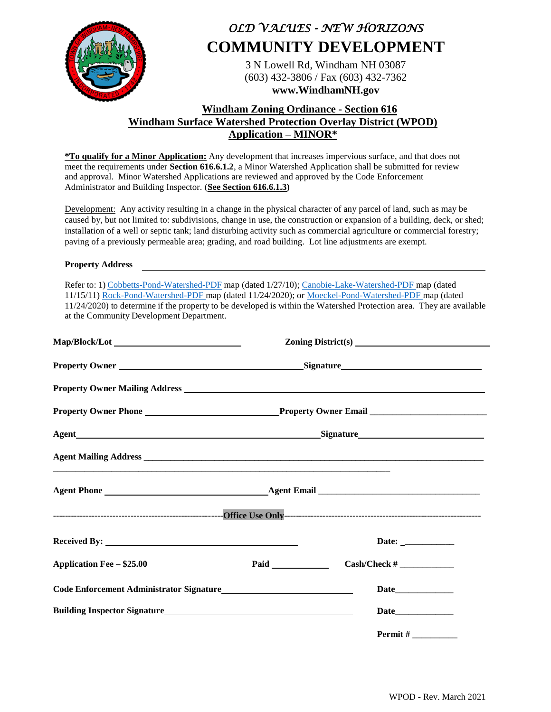

# *OLD VALUES - NEW HORIZONS* **COMMUNITY DEVELOPMENT**

3 N Lowell Rd, Windham NH 03087 (603) 432-3806 / Fax (603) 432-7362 **www.WindhamNH.gov**

### **Windham Zoning Ordinance - Section 616 Windham Surface Watershed Protection Overlay District (WPOD) Application – MINOR\***

**\*To qualify for a Minor Application:** Any development that increases impervious surface, and that does not meet the requirements under **Section 616.6.1.2**, a Minor Watershed Application shall be submitted for review and approval. Minor Watershed Applications are reviewed and approved by the Code Enforcement Administrator and Building Inspector. (**See Section 616.6.1.3)** 

Development: Any activity resulting in a change in the physical character of any parcel of land, such as may be caused by, but not limited to: subdivisions, change in use, the construction or expansion of a building, deck, or shed; installation of a well or septic tank; land disturbing activity such as commercial agriculture or commercial forestry; paving of a previously permeable area; grading, and road building. Lot line adjustments are exempt.

#### **Property Address**

Refer to: 1) [Cobbetts-Pond-Watershed-PDF](https://www.windhamnh.gov/DocumentCenter/View/719/Cobbetts-Pond-Watershed) map (dated 1/27/10)[; Canobie-Lake-Watershed-PDF](https://www.windhamnh.gov/DocumentCenter/View/718/Canobie-Lake-Watershed) map (dated 11/15/11) [Rock-Pond-Watershed-PDF](https://www.windhamnh.gov/DocumentCenter/View/7859/Rock-Pond-Watershed-Overlay-Ref-Town-Ordinance-11242020) map (dated 11/24/2020); or [Moeckel-Pond-Watershed-PDF](https://www.windhamnh.gov/DocumentCenter/View/7831/Moeckel-Pond-Watershed-Ref-Town-Ordinance-2020) map (dated 11/24/2020) to determine if the property to be developed is within the Watershed Protection area. They are available at the Community Development Department.

| <b>Application Fee - \$25.00</b>                                                                                                                                                                                                       |  | $Cash/Check \#$ |
|----------------------------------------------------------------------------------------------------------------------------------------------------------------------------------------------------------------------------------------|--|-----------------|
| Code Enforcement Administrator Signature<br><u>Letter Schalars and Schalars and Schalars and Schalars and Schalars and Schalars and Schalars and Schalars and Schalars and Schalars and Schalars and School and School and School </u> |  |                 |
| Building Inspector Signature<br><u>Leadenborne and the set of the set of the set of the set of the set of the set of the set of the set of the set of the set of the set of the set of the set of the set of the set of the set of</u> |  |                 |
|                                                                                                                                                                                                                                        |  |                 |